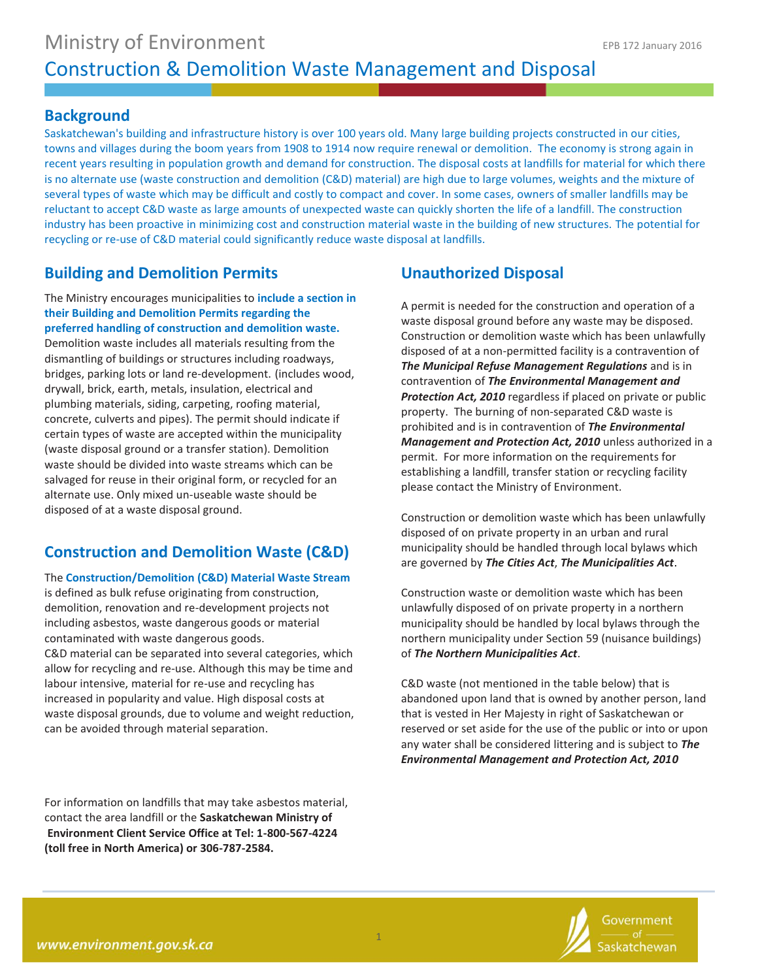### **Background**

Saskatchewan's building and infrastructure history is over 100 years old. Many large building projects constructed in our cities, towns and villages during the boom years from 1908 to 1914 now require renewal or demolition. The economy is strong again in recent years resulting in population growth and demand for construction. The disposal costs at landfills for material for which there is no alternate use (waste construction and demolition (C&D) material) are high due to large volumes, weights and the mixture of several types of waste which may be difficult and costly to compact and cover. In some cases, owners of smaller landfills may be reluctant to accept C&D waste as large amounts of unexpected waste can quickly shorten the life of a landfill. The construction industry has been proactive in minimizing cost and construction material waste in the building of new structures. The potential for recycling or re-use of C&D material could significantly reduce waste disposal at landfills.

## **Building and Demolition Permits**

The Ministry encourages municipalities to **include a section in their Building and Demolition Permits regarding the preferred handling of construction and demolition waste.** Demolition waste includes all materials resulting from the dismantling of buildings or structures including roadways, bridges, parking lots or land re-development. (includes wood, drywall, brick, earth, metals, insulation, electrical and plumbing materials, siding, carpeting, roofing material, concrete, culverts and pipes). The permit should indicate if certain types of waste are accepted within the municipality (waste disposal ground or a transfer station). Demolition waste should be divided into waste streams which can be salvaged for reuse in their original form, or recycled for an alternate use. Only mixed un-useable waste should be disposed of at a waste disposal ground.

# **Construction and Demolition Waste (C&D)**

The **Construction/Demolition (C&D) Material Waste Stream** is defined as bulk refuse originating from construction, demolition, renovation and re-development projects not including asbestos, waste dangerous goods or material contaminated with waste dangerous goods. C&D material can be separated into several categories, which allow for recycling and re-use. Although this may be time and labour intensive, material for re-use and recycling has increased in popularity and value. High disposal costs at waste disposal grounds, due to volume and weight reduction, can be avoided through material separation.

For information on landfills that may take asbestos material, contact the area landfill or the **Saskatchewan Ministry of Environment Client Service Office at Tel: 1-800-567-4224 (toll free in North America) or 306-787-2584.**

## **Unauthorized Disposal**

A permit is needed for the construction and operation of a waste disposal ground before any waste may be disposed. Construction or demolition waste which has been unlawfully disposed of at a non-permitted facility is a contravention of *The Municipal Refuse Management Regulations* and is in contravention of *The Environmental Management and Protection Act, 2010* regardless if placed on private or public property. The burning of non-separated C&D waste is prohibited and is in contravention of *The Environmental Management and Protection Act, 2010* unless authorized in a permit. For more information on the requirements for establishing a landfill, transfer station or recycling facility please contact the Ministry of Environment.

Construction or demolition waste which has been unlawfully disposed of on private property in an urban and rural municipality should be handled through local bylaws which are governed by *The Cities Act*, *The Municipalities Act*.

Construction waste or demolition waste which has been unlawfully disposed of on private property in a northern municipality should be handled by local bylaws through the northern municipality under Section 59 (nuisance buildings) of *The Northern Municipalities Act*.

C&D waste (not mentioned in the table below) that is abandoned upon land that is owned by another person, land that is vested in Her Majesty in right of Saskatchewan or reserved or set aside for the use of the public or into or upon any water shall be considered littering and is subject to *The Environmental Management and Protection Act, 2010*